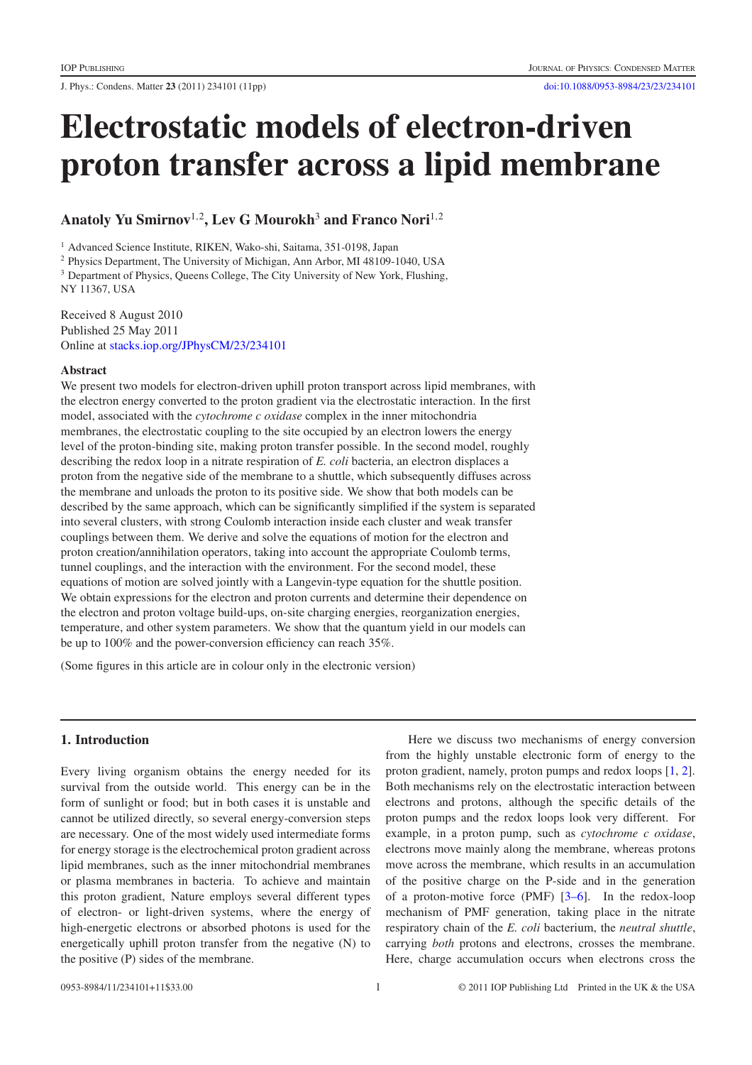J. Phys.: Condens. Matter **23** (2011) 234101 (11pp) [doi:10.1088/0953-8984/23/23/234101](http://dx.doi.org/10.1088/0953-8984/23/23/234101)

# **Electrostatic models of electron-driven proton transfer across a lipid membrane**

**Anatoly Yu Smirnov**<sup>1</sup>,<sup>2</sup> **, Lev G Mourokh**<sup>3</sup> **and Franco Nori**<sup>1</sup>,<sup>2</sup>

<sup>1</sup> Advanced Science Institute, RIKEN, Wako-shi, Saitama, 351-0198, Japan

<sup>2</sup> Physics Department, The University of Michigan, Ann Arbor, MI 48109-1040, USA

<sup>3</sup> Department of Physics, Queens College, The City University of New York, Flushing, NY 11367, USA

Received 8 August 2010 Published 25 May 2011 Online at [stacks.iop.org/JPhysCM/23/234101](http://stacks.iop.org/JPhysCM/23/234101)

## **Abstract**

We present two models for electron-driven uphill proton transport across lipid membranes, with the electron energy converted to the proton gradient via the electrostatic interaction. In the first model, associated with the *cytochrome c oxidase* complex in the inner mitochondria membranes, the electrostatic coupling to the site occupied by an electron lowers the energy level of the proton-binding site, making proton transfer possible. In the second model, roughly describing the redox loop in a nitrate respiration of *E. coli* bacteria, an electron displaces a proton from the negative side of the membrane to a shuttle, which subsequently diffuses across the membrane and unloads the proton to its positive side. We show that both models can be described by the same approach, which can be significantly simplified if the system is separated into several clusters, with strong Coulomb interaction inside each cluster and weak transfer couplings between them. We derive and solve the equations of motion for the electron and proton creation/annihilation operators, taking into account the appropriate Coulomb terms, tunnel couplings, and the interaction with the environment. For the second model, these equations of motion are solved jointly with a Langevin-type equation for the shuttle position. We obtain expressions for the electron and proton currents and determine their dependence on the electron and proton voltage build-ups, on-site charging energies, reorganization energies, temperature, and other system parameters. We show that the quantum yield in our models can be up to 100% and the power-conversion efficiency can reach 35%.

(Some figures in this article are in colour only in the electronic version)

# **1. Introduction**

Every living organism obtains the energy needed for its survival from the outside world. This energy can be in the form of sunlight or food; but in both cases it is unstable and cannot be utilized directly, so several energy-conversion steps are necessary. One of the most widely used intermediate forms for energy storage is the electrochemical proton gradient across lipid membranes, such as the inner mitochondrial membranes or plasma membranes in bacteria. To achieve and maintain this proton gradient, Nature employs several different types of electron- or light-driven systems, where the energy of high-energetic electrons or absorbed photons is used for the energetically uphill proton transfer from the negative (N) to the positive (P) sides of the membrane.

Here we discuss two mechanisms of energy conversion from the highly unstable electronic form of energy to the proton gradient, namely, proton pumps and redox loops [\[1,](#page-10-0) [2\]](#page-10-1). Both mechanisms rely on the electrostatic interaction between electrons and protons, although the specific details of the proton pumps and the redox loops look very different. For example, in a proton pump, such as *cytochrome c oxidase*, electrons move mainly along the membrane, whereas protons move across the membrane, which results in an accumulation of the positive charge on the P-side and in the generation of a proton-motive force (PMF) [\[3–6\]](#page-10-2). In the redox-loop mechanism of PMF generation, taking place in the nitrate respiratory chain of the *E. coli* bacterium, the *neutral shuttle*, carrying *both* protons and electrons, crosses the membrane. Here, charge accumulation occurs when electrons cross the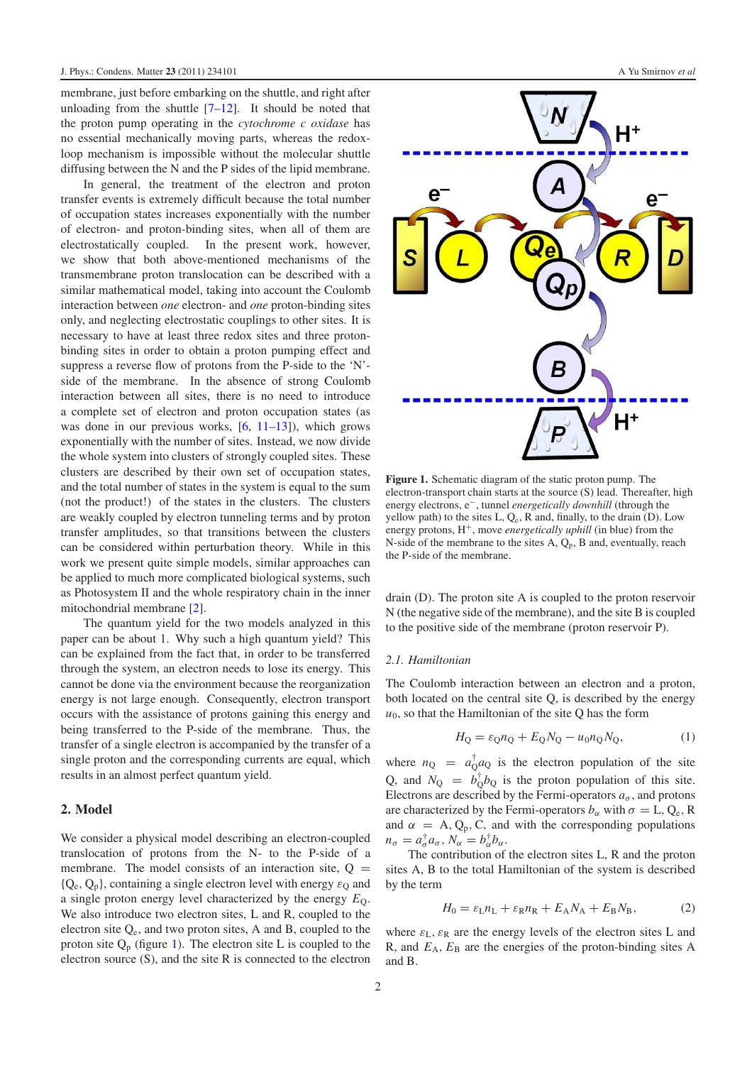membrane, just before embarking on the shuttle, and right after unloading from the shuttle  $[7-12]$ . It should be noted that the proton pump operating in the *cytochrome c oxidase* has no essential mechanically moving parts, whereas the redoxloop mechanism is impossible without the molecular shuttle diffusing between the N and the P sides of the lipid membrane.

In general, the treatment of the electron and proton transfer events is extremely difficult because the total number of occupation states increases exponentially with the number of electron- and proton-binding sites, when all of them are electrostatically coupled. In the present work, however, we show that both above-mentioned mechanisms of the transmembrane proton translocation can be described with a similar mathematical model, taking into account the Coulomb interaction between *one* electron- and *one* proton-binding sites only, and neglecting electrostatic couplings to other sites. It is necessary to have at least three redox sites and three protonbinding sites in order to obtain a proton pumping effect and suppress a reverse flow of protons from the P-side to the 'N' side of the membrane. In the absence of strong Coulomb interaction between all sites, there is no need to introduce a complete set of electron and proton occupation states (as was done in our previous works,  $[6, 11-13]$  $[6, 11-13]$ , which grows exponentially with the number of sites. Instead, we now divide the whole system into clusters of strongly coupled sites. These clusters are described by their own set of occupation states, and the total number of states in the system is equal to the sum (not the product!) of the states in the clusters. The clusters are weakly coupled by electron tunneling terms and by proton transfer amplitudes, so that transitions between the clusters can be considered within perturbation theory. While in this work we present quite simple models, similar approaches can be applied to much more complicated biological systems, such as Photosystem II and the whole respiratory chain in the inner mitochondrial membrane [\[2\]](#page-10-1).

The quantum yield for the two models analyzed in this paper can be about 1. Why such a high quantum yield? This can be explained from the fact that, in order to be transferred through the system, an electron needs to lose its energy. This cannot be done via the environment because the reorganization energy is not large enough. Consequently, electron transport occurs with the assistance of protons gaining this energy and being transferred to the P-side of the membrane. Thus, the transfer of a single electron is accompanied by the transfer of a single proton and the corresponding currents are equal, which results in an almost perfect quantum yield.

### <span id="page-1-1"></span>**2. Model**

We consider a physical model describing an electron-coupled translocation of protons from the N- to the P-side of a membrane. The model consists of an interaction site,  $Q =$  ${Q<sub>e</sub>, Q<sub>n</sub>}$ , containing a single electron level with energy  $\varepsilon_0$  and a single proton energy level characterized by the energy  $E<sub>O</sub>$ . We also introduce two electron sites, L and R, coupled to the electron site Qe, and two proton sites, A and B, coupled to the proton site  $Q_p$  (figure [1\)](#page-1-0). The electron site L is coupled to the electron source (S), and the site R is connected to the electron

<span id="page-1-0"></span>

**Figure 1.** Schematic diagram of the static proton pump. The electron-transport chain starts at the source (S) lead. Thereafter, high energy electrons, e<sup>−</sup>, tunnel *energetically downhill* (through the yellow path) to the sites  $L, Q_e, R$  and, finally, to the drain  $(D)$ . Low energy protons,  $H^+$ , move *energetically uphill* (in blue) from the N-side of the membrane to the sites  $A$ ,  $Q_p$ ,  $B$  and, eventually, reach the P-side of the membrane.

drain (D). The proton site A is coupled to the proton reservoir N (the negative side of the membrane), and the site B is coupled to the positive side of the membrane (proton reservoir P).

#### *2.1. Hamiltonian*

The Coulomb interaction between an electron and a proton, both located on the central site Q, is described by the energy  $u<sub>0</sub>$ , so that the Hamiltonian of the site Q has the form

$$
H_Q = \varepsilon_Q n_Q + E_Q N_Q - u_0 n_Q N_Q, \qquad (1)
$$

where  $n_Q = a_Q^{\dagger} a_Q$  is the electron population of the site Q, and  $N_Q = b_Q^{\dagger} b_Q$  is the proton population of this site. Electrons are described by the Fermi-operators  $a_{\sigma}$ , and protons are characterized by the Fermi-operators  $b_{\alpha}$  with  $\sigma = L, Q_e, R$ and  $\alpha = A, Q_p, C$ , and with the corresponding populations  $n_{\sigma} = a_{\sigma}^{\dagger} a_{\sigma}, N_{\alpha} = b_{\alpha}^{\dagger} b_{\alpha}.$ 

The contribution of the electron sites L, R and the proton sites A, B to the total Hamiltonian of the system is described by the term

$$
H_0 = \varepsilon_{\rm L} n_{\rm L} + \varepsilon_{\rm R} n_{\rm R} + E_{\rm A} N_{\rm A} + E_{\rm B} N_{\rm B},\tag{2}
$$

where  $\varepsilon_L$ ,  $\varepsilon_R$  are the energy levels of the electron sites L and R, and  $E_A$ ,  $E_B$  are the energies of the proton-binding sites A and B.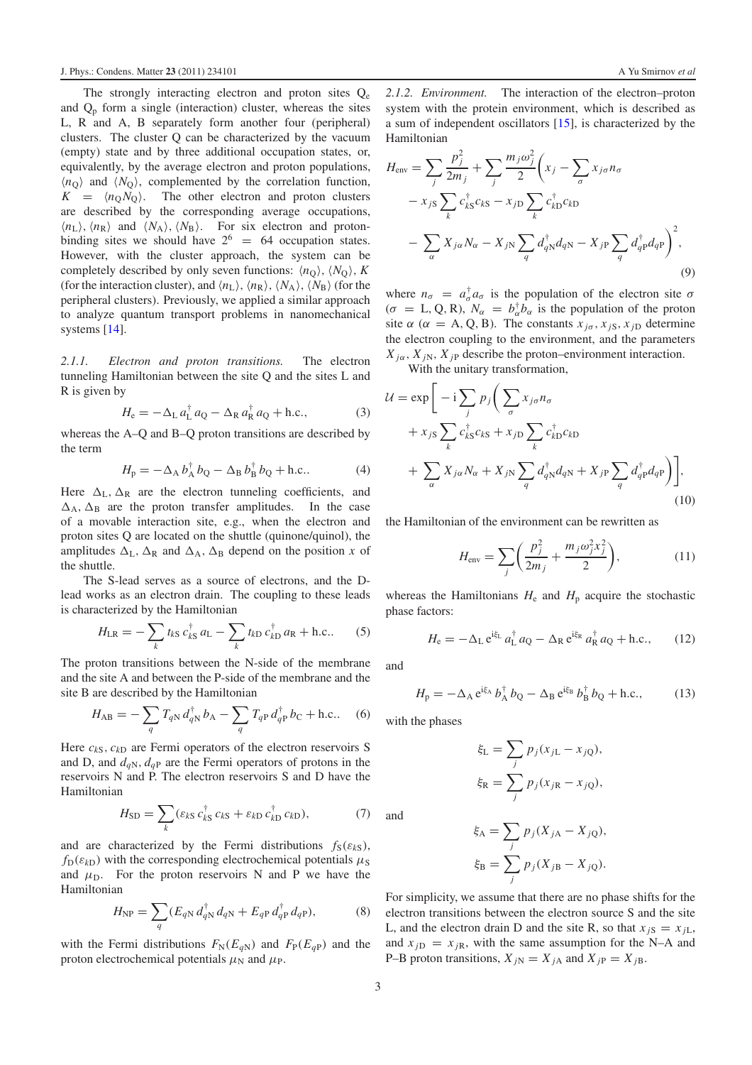The strongly interacting electron and proton sites  $Q_e$ and  $Q_p$  form a single (interaction) cluster, whereas the sites L, R and A, B separately form another four (peripheral) clusters. The cluster Q can be characterized by the vacuum (empty) state and by three additional occupation states, or, equivalently, by the average electron and proton populations,  $\langle n_{\rm Q} \rangle$  and  $\langle N_{\rm Q} \rangle$ , complemented by the correlation function,  $K = \langle n_{\rm Q} N_{\rm Q} \rangle$ . The other electron and proton clusters are described by the corresponding average occupations,  $\langle n_{\rm L} \rangle$ ,  $\langle n_{\rm R} \rangle$  and  $\langle N_{\rm A} \rangle$ ,  $\langle N_{\rm B} \rangle$ . For six electron and protonbinding sites we should have  $2^6 = 64$  occupation states. However, with the cluster approach, the system can be completely described by only seven functions:  $\langle n_Q \rangle$ ,  $\langle N_Q \rangle$ , *K* (for the interaction cluster), and  $\langle n_{\rm L} \rangle$ ,  $\langle n_{\rm R} \rangle$ ,  $\langle N_{\rm A} \rangle$ ,  $\langle N_{\rm B} \rangle$  (for the peripheral clusters). Previously, we applied a similar approach to analyze quantum transport problems in nanomechanical systems [\[14\]](#page-10-6).

*2.1.1. Electron and proton transitions.* The electron tunneling Hamiltonian between the site Q and the sites L and R is given by

$$
H_{\rm e} = -\Delta_{\rm L} a_{\rm L}^{\dagger} a_{\rm Q} - \Delta_{\rm R} a_{\rm R}^{\dagger} a_{\rm Q} + \text{h.c.},\tag{3}
$$

whereas the A–Q and B–Q proton transitions are described by the term

$$
H_{\rm p} = -\Delta_{\rm A} b_{\rm A}^{\dagger} b_{\rm Q} - \Delta_{\rm B} b_{\rm B}^{\dagger} b_{\rm Q} + \text{h.c.}.
$$
 (4)

Here  $\Delta_{\rm L}$ ,  $\Delta_{\rm R}$  are the electron tunneling coefficients, and  $\Delta_A$ ,  $\Delta_B$  are the proton transfer amplitudes. In the case of a movable interaction site, e.g., when the electron and proton sites Q are located on the shuttle (quinone/quinol), the amplitudes  $\Delta_L$ ,  $\Delta_R$  and  $\Delta_A$ ,  $\Delta_B$  depend on the position *x* of the shuttle.

The S-lead serves as a source of electrons, and the Dlead works as an electron drain. The coupling to these leads is characterized by the Hamiltonian

$$
H_{\text{LR}} = -\sum_{k} t_{kS} c_{kS}^{\dagger} a_{\text{L}} - \sum_{k} t_{kD} c_{kD}^{\dagger} a_{\text{R}} + \text{h.c.} \tag{5}
$$

The proton transitions between the N-side of the membrane and the site A and between the P-side of the membrane and the site B are described by the Hamiltonian

$$
H_{AB} = -\sum_{q} T_{qN} d_{qN}^{\dagger} b_{A} - \sum_{q} T_{qP} d_{qP}^{\dagger} b_{C} + \text{h.c.}. \quad (6)
$$

Here  $c_{kS}$ ,  $c_{kD}$  are Fermi operators of the electron reservoirs S and D, and  $d_{qN}$ ,  $d_{qP}$  are the Fermi operators of protons in the reservoirs N and P. The electron reservoirs S and D have the Hamiltonian

$$
H_{\rm SD} = \sum_{k} (\varepsilon_{kS} c_{kS}^{\dagger} c_{kS} + \varepsilon_{kD} c_{kD}^{\dagger} c_{kD}), \tag{7}
$$

and are characterized by the Fermi distributions  $f_S(\varepsilon_{kS})$ ,  $f_D(\varepsilon_{kD})$  with the corresponding electrochemical potentials  $\mu_S$ and  $\mu_{\rm D}$ . For the proton reservoirs N and P we have the Hamiltonian

$$
H_{\rm NP} = \sum_{q} (E_{qN} d_{qN}^{\dagger} d_{qN} + E_{qP} d_{qP}^{\dagger} d_{qP}), \qquad (8)
$$

with the Fermi distributions  $F_N(E_{qN})$  and  $F_P(E_{qP})$  and the proton electrochemical potentials  $\mu_N$  and  $\mu_P$ .

*2.1.2. Environment.* The interaction of the electron–proton system with the protein environment, which is described as a sum of independent oscillators [\[15\]](#page-10-7), is characterized by the Hamiltonian

$$
H_{\text{env}} = \sum_{j} \frac{p_j^2}{2m_j} + \sum_{j} \frac{m_j \omega_j^2}{2} \left( x_j - \sum_{\sigma} x_{j\sigma} n_{\sigma} - x_{j\sigma} \sum_{k} c_{kS}^{\dagger} c_{kS} - x_{jD} \sum_{k} c_{kD}^{\dagger} c_{kD} - \sum_{\alpha} X_{j\alpha} N_{\alpha} - X_{jN} \sum_{q} d_{qN}^{\dagger} d_{qN} - X_{jP} \sum_{q} d_{qP}^{\dagger} d_{qP} \right)^2,
$$
\n(9)

where  $n_{\sigma} = a_{\sigma}^{\dagger} a_{\sigma}$  is the population of the electron site  $\sigma$  $(\sigma = L, Q, R)$ ,  $N_{\alpha} = b_{\alpha}^{\dagger} b_{\alpha}$  is the population of the proton site  $\alpha$  ( $\alpha = A, Q, B$ ). The constants  $x_{j\sigma}, x_{jS}, x_{jD}$  determine the electron coupling to the environment, and the parameters  $X_{i\alpha}$ ,  $X_{iN}$ ,  $X_{iP}$  describe the proton–environment interaction.

With the unitary transformation,

$$
\mathcal{U} = \exp\bigg[-i\sum_{j} p_{j}\bigg(\sum_{\sigma} x_{j\sigma}n_{\sigma} + x_{jS}\sum_{k} c_{kS}^{\dagger}c_{kS} + x_{jD}\sum_{k} c_{kD}^{\dagger}c_{kD} + \sum_{\alpha} X_{j\alpha}N_{\alpha} + X_{jN}\sum_{q} d_{qN}^{\dagger}d_{qN} + X_{jP}\sum_{q} d_{qP}^{\dagger}d_{qP}\bigg)\bigg],
$$
\n(10)

the Hamiltonian of the environment can be rewritten as

$$
H_{\text{env}} = \sum_{j} \left( \frac{p_j^2}{2m_j} + \frac{m_j \omega_j^2 x_j^2}{2} \right),\tag{11}
$$

whereas the Hamiltonians  $H_e$  and  $H_p$  acquire the stochastic phase factors:

$$
H_{\rm e} = -\Delta_{\rm L} e^{i\xi_{\rm L}} a_{\rm L}^{\dagger} a_{\rm Q} - \Delta_{\rm R} e^{i\xi_{\rm R}} a_{\rm R}^{\dagger} a_{\rm Q} + \text{h.c.},\qquad(12)
$$

and

$$
H_{\rm p} = -\Delta_{\rm A} e^{i\xi_{\rm A}} b_{\rm A}^{\dagger} b_{\rm Q} - \Delta_{\rm B} e^{i\xi_{\rm B}} b_{\rm B}^{\dagger} b_{\rm Q} + \text{h.c.},\tag{13}
$$

with the phases

$$
\xi_{\rm L} = \sum_{j} p_j (x_{j\rm L} - x_{j\rm Q}),
$$
  

$$
\xi_{\rm R} = \sum_{j} p_j (x_{j\rm R} - x_{j\rm Q}),
$$

and

$$
\xi_{\mathbf{A}} = \sum_{j} p_j (X_{j\mathbf{A}} - X_{j\mathbf{Q}}),
$$

$$
\xi_{\mathbf{B}} = \sum_{j} p_j (X_{j\mathbf{B}} - X_{j\mathbf{Q}}).
$$

For simplicity, we assume that there are no phase shifts for the electron transitions between the electron source S and the site L, and the electron drain D and the site R, so that  $x_{iS} = x_{iL}$ , and  $x_{iD} = x_{iR}$ , with the same assumption for the N–A and P–B proton transitions,  $X_{iN} = X_{iA}$  and  $X_{iP} = X_{iB}$ .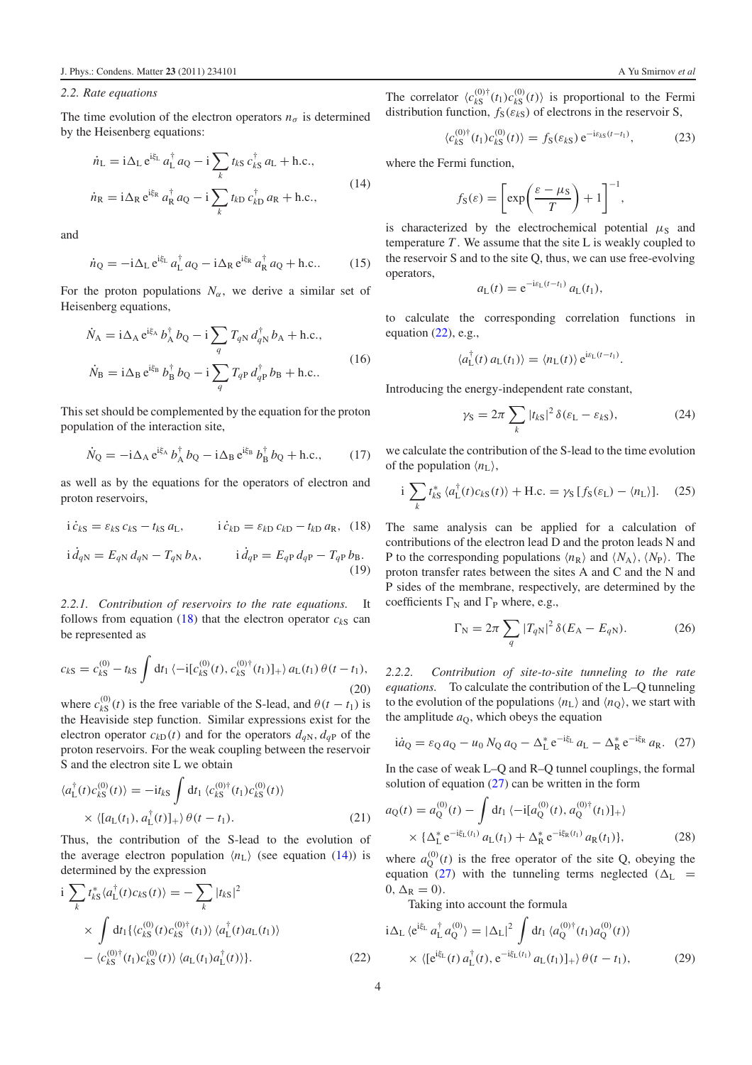#### *2.2. Rate equations*

The time evolution of the electron operators  $n_{\sigma}$  is determined by the Heisenberg equations:

$$
\dot{n}_{\rm L} = \mathrm{i}\Delta_{\rm L} e^{\mathrm{i}\xi_{\rm L}} a_{\rm L}^{\dagger} a_{\rm Q} - \mathrm{i} \sum_{k} t_{k\rm S} c_{k\rm S}^{\dagger} a_{\rm L} + \text{h.c.},
$$
\n
$$
\dot{n}_{\rm R} = \mathrm{i}\Delta_{\rm R} e^{\mathrm{i}\xi_{\rm R}} a_{\rm R}^{\dagger} a_{\rm Q} - \mathrm{i} \sum_{k} t_{k\rm D} c_{k\rm D}^{\dagger} a_{\rm R} + \text{h.c.},
$$
\n(14)

and

$$
\dot{n}_{\mathbf{Q}} = -\mathrm{i}\Delta_{\mathbf{L}} e^{\mathrm{i}\xi_{\mathbf{L}}} a_{\mathbf{L}}^{\dagger} a_{\mathbf{Q}} - \mathrm{i}\Delta_{\mathbf{R}} e^{\mathrm{i}\xi_{\mathbf{R}}} a_{\mathbf{R}}^{\dagger} a_{\mathbf{Q}} + \text{h.c.} \tag{15}
$$

For the proton populations  $N_\alpha$ , we derive a similar set of Heisenberg equations,

$$
\dot{N}_{A} = i\Delta_{A} e^{i\xi_{A}} b_{A}^{\dagger} b_{Q} - i \sum_{q} T_{qN} d_{qN}^{\dagger} b_{A} + \text{h.c.},
$$
\n
$$
\dot{N}_{B} = i\Delta_{B} e^{i\xi_{B}} b_{B}^{\dagger} b_{Q} - i \sum_{q} T_{qP} d_{qP}^{\dagger} b_{B} + \text{h.c.}.
$$
\n(16)

This set should be complemented by the equation for the proton population of the interaction site,

$$
\dot{N}_{\rm Q} = -\mathrm{i}\Delta_{\rm A} e^{\mathrm{i}\xi_{\rm A}} b_{\rm A}^{\dagger} b_{\rm Q} - \mathrm{i}\Delta_{\rm B} e^{\mathrm{i}\xi_{\rm B}} b_{\rm B}^{\dagger} b_{\rm Q} + \text{h.c.},\tag{17}
$$

as well as by the equations for the operators of electron and proton reservoirs,

$$
i\dot{c}_{kS} = \varepsilon_{kS} c_{kS} - t_{kS} a_{L}, \qquad i\dot{c}_{kD} = \varepsilon_{kD} c_{kD} - t_{kD} a_{R}, \quad (18)
$$

$$
i\,\dot{d}_{qN} = E_{qN}\,d_{qN} - T_{qN}\,b_{A}, \qquad i\,\dot{d}_{qP} = E_{qP}\,d_{qP} - T_{qP}\,b_{B}.\tag{19}
$$

*2.2.1. Contribution of reservoirs to the rate equations.* It follows from equation  $(18)$  that the electron operator  $c_{kS}$  can be represented as

$$
c_{kS} = c_{kS}^{(0)} - t_{kS} \int dt_1 \langle -i[c_{kS}^{(0)}(t), c_{kS}^{(0)\dagger}(t_1)]_+ \rangle a_{L}(t_1) \theta(t - t_1),
$$
\n(20)

where  $c_{kS}^{(0)}(t)$  is the free variable of the S-lead, and  $\theta(t - t_1)$  is the Heaviside step function. Similar expressions exist for the electron operator  $c_{kD}(t)$  and for the operators  $d_{qN}$ ,  $d_{qP}$  of the proton reservoirs. For the weak coupling between the reservoir S and the electron site L we obtain

$$
\langle a_{\mathrm{L}}^{\dagger}(t)c_{k\mathrm{S}}^{(0)}(t)\rangle = -\mathrm{i}t_{k\mathrm{S}}\int \mathrm{d}t_{1} \langle c_{k\mathrm{S}}^{(0)\dagger}(t_{1})c_{k\mathrm{S}}^{(0)}(t)\rangle
$$
  
 
$$
\times \langle [a_{\mathrm{L}}(t_{1}), a_{\mathrm{L}}^{\dagger}(t)]_{+}\rangle \theta(t - t_{1}). \tag{21}
$$

Thus, the contribution of the S-lead to the evolution of the average electron population  $\langle n_{\rm L} \rangle$  (see equation [\(14\)](#page-3-1)) is determined by the expression

$$
i \sum_{k} t_{kS}^{*} \langle a_{\text{L}}^{\dagger}(t) c_{kS}(t) \rangle = - \sum_{k} |t_{kS}|^{2}
$$
  
 
$$
\times \int dt_{1} \{ \langle c_{kS}^{(0)}(t) c_{kS}^{(0) \dagger}(t_{1}) \rangle \langle a_{\text{L}}^{\dagger}(t) a_{\text{L}}(t_{1}) \rangle
$$
  
 
$$
- \langle c_{kS}^{(0) \dagger}(t_{1}) c_{kS}^{(0)}(t) \rangle \langle a_{\text{L}}(t_{1}) a_{\text{L}}^{\dagger}(t) \rangle \}. \tag{22}
$$

<span id="page-3-1"></span>The correlator  $\langle c_{kS}^{(0)\dagger}(t_1)c_{kS}^{(0)}(t) \rangle$  is proportional to the Fermi distribution function,  $f_S(\varepsilon_{kS})$  of electrons in the reservoir S,

$$
\langle c_{kS}^{(0)\dagger}(t_1)c_{kS}^{(0)}(t)\rangle = f_S(\varepsilon_{kS}) e^{-i\varepsilon_{kS}(t-t_1)},\tag{23}
$$

where the Fermi function,

$$
f_{\rm S}(\varepsilon) = \left[ \exp\left(\frac{\varepsilon - \mu_{\rm S}}{T}\right) + 1 \right]^{-1},\,
$$

is characterized by the electrochemical potential  $\mu_s$  and temperature *T* . We assume that the site L is weakly coupled to the reservoir S and to the site Q, thus, we can use free-evolving operators,

$$
a_{\mathrm{L}}(t) = \mathrm{e}^{-\mathrm{i}\varepsilon_{\mathrm{L}}(t-t_1)} a_{\mathrm{L}}(t_1),
$$

to calculate the corresponding correlation functions in equation [\(22\)](#page-3-2), e.g.,

$$
\langle a_{\mathrm{L}}^{\dagger}(t) a_{\mathrm{L}}(t_1) \rangle = \langle n_{\mathrm{L}}(t) \rangle e^{i \varepsilon_{\mathrm{L}}(t - t_1)}.
$$

Introducing the energy-independent rate constant,

$$
\gamma_{\rm S} = 2\pi \sum_{k} |t_{k\rm S}|^2 \,\delta(\varepsilon_{\rm L} - \varepsilon_{k\rm S}),\tag{24}
$$

<span id="page-3-0"></span>we calculate the contribution of the S-lead to the time evolution of the population  $\langle n_{\rm L} \rangle$ ,

$$
i \sum_{k} t_{kS}^{*} \langle a_{L}^{\dagger}(t)c_{kS}(t) \rangle + \text{H.c.} = \gamma_{S} [f_{S}(\varepsilon_{L}) - \langle n_{L} \rangle]. \quad (25)
$$

The same analysis can be applied for a calculation of contributions of the electron lead D and the proton leads N and P to the corresponding populations  $\langle n_R \rangle$  and  $\langle N_A \rangle$ ,  $\langle N_P \rangle$ . The proton transfer rates between the sites A and C and the N and P sides of the membrane, respectively, are determined by the coefficients  $\Gamma_N$  and  $\Gamma_P$  where, e.g.,

<span id="page-3-3"></span>
$$
\Gamma_{\rm N} = 2\pi \sum_{q} |T_{q\rm N}|^2 \,\delta(E_{\rm A} - E_{q\rm N}).\tag{26}
$$

*2.2.2. Contribution of site-to-site tunneling to the rate equations.* To calculate the contribution of the L–Q tunneling to the evolution of the populations  $\langle n_{\rm L} \rangle$  and  $\langle n_{\rm Q} \rangle$ , we start with the amplitude  $a<sub>0</sub>$ , which obeys the equation

$$
i\dot{a}_{Q} = \varepsilon_{Q} a_{Q} - u_{0} N_{Q} a_{Q} - \Delta_{L}^{*} e^{-i\xi_{L}} a_{L} - \Delta_{R}^{*} e^{-i\xi_{R}} a_{R}. (27)
$$

<span id="page-3-4"></span>In the case of weak L–Q and R–Q tunnel couplings, the formal solution of equation  $(27)$  can be written in the form

$$
a_{Q}(t) = a_{Q}^{(0)}(t) - \int dt_{1} \langle -i[a_{Q}^{(0)}(t), a_{Q}^{(0)\dagger}(t_{1})]_{+} \rangle
$$
  
 
$$
\times {\{\Delta_{L}^{*} e^{-i\xi_{L}(t_{1})} a_{L}(t_{1}) + \Delta_{R}^{*} e^{-i\xi_{R}(t_{1})} a_{R}(t_{1})\}},
$$
(28)

<span id="page-3-2"></span>where  $a_Q^{(0)}(t)$  is the free operator of the site Q, obeying the equation [\(27\)](#page-3-3) with the tunneling terms neglected ( $\Delta_L$  =  $0, \Delta_R = 0$ ).

Taking into account the formula

$$
i\Delta_{L} \langle e^{i\xi_{L}} a_{L}^{\dagger} a_{Q}^{(0)} \rangle = |\Delta_{L}|^{2} \int dt_{1} \langle a_{Q}^{(0)\dagger}(t_{1}) a_{Q}^{(0)}(t) \rangle
$$
  
 
$$
\times \langle [e^{i\xi_{L}}(t) a_{L}^{\dagger}(t), e^{-i\xi_{L}(t_{1})} a_{L}(t_{1})]_{+} \rangle \theta(t - t_{1}), \qquad (29)
$$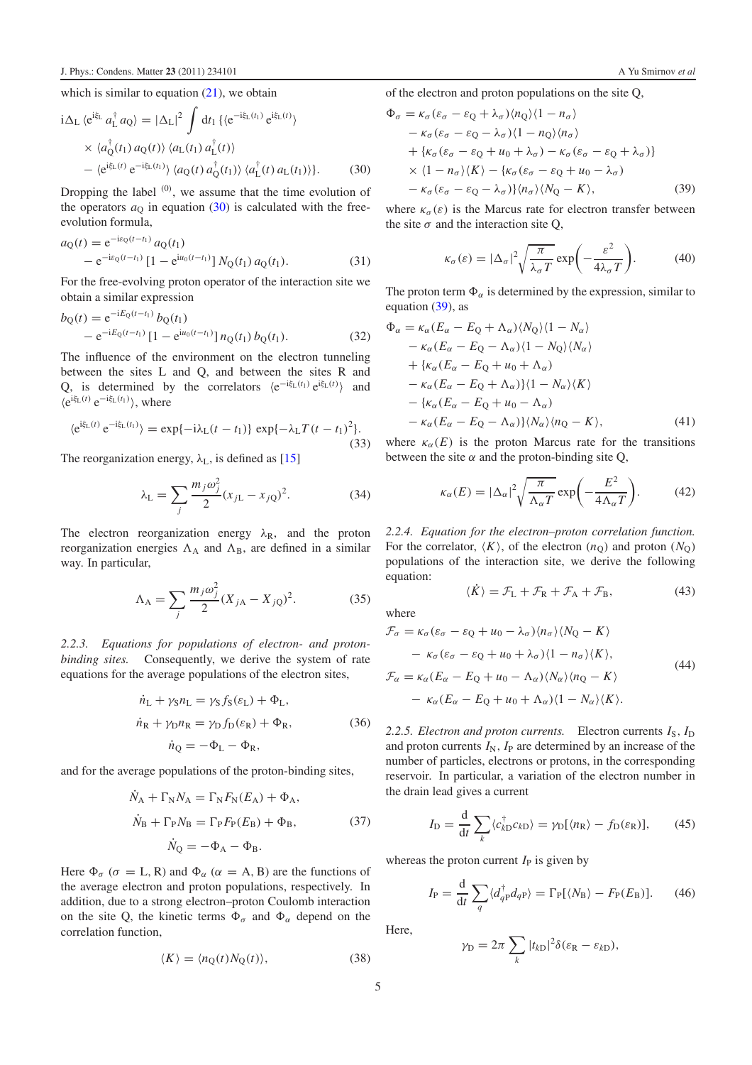which is similar to equation  $(21)$ , we obtain

$$
\begin{split} \mathrm{i}\Delta_{\mathrm{L}}\,\langle e^{\mathrm{i}\xi_{\mathrm{L}}}a_{\mathrm{L}}^{\dagger}a_{\mathrm{Q}}\rangle &=|\Delta_{\mathrm{L}}|^{2}\,\int\mathrm{d}t_{1}\,\{\langle e^{-\mathrm{i}\xi_{\mathrm{L}}(t_{1})}\,e^{\mathrm{i}\xi_{\mathrm{L}}(t)}\rangle\\ &\times\,\langle a_{\mathrm{Q}}^{\dagger}(t_{1})\,a_{\mathrm{Q}}(t)\rangle\,\langle a_{\mathrm{L}}(t_{1})\,a_{\mathrm{L}}^{\dagger}(t)\rangle\\ &- \langle e^{\mathrm{i}\xi_{\mathrm{L}}(t)}\,e^{-\mathrm{i}\xi_{\mathrm{L}}(t_{1})}\rangle\,\langle a_{\mathrm{Q}}(t)\,a_{\mathrm{Q}}^{\dagger}(t_{1})\rangle\,\langle a_{\mathrm{L}}^{\dagger}(t)\,a_{\mathrm{L}}(t_{1})\rangle\}. \end{split} \tag{30}
$$

 $\mathcal{C}$ 

Dropping the label  $(0)$ , we assume that the time evolution of the operators  $a<sub>0</sub>$  in equation [\(30\)](#page-4-0) is calculated with the freeevolution formula,

$$
a_Q(t) = e^{-ie_Q(t-t_1)} a_Q(t_1)
$$
  
- 
$$
e^{-ie_Q(t-t_1)} [1 - e^{iu_0(t-t_1)}] N_Q(t_1) a_Q(t_1).
$$
 (31)

For the free-evolving proton operator of the interaction site we obtain a similar expression

$$
b_{Q}(t) = e^{-iE_{Q}(t-t_{1})} b_{Q}(t_{1})
$$
  
- 
$$
e^{-iE_{Q}(t-t_{1})} [1 - e^{iu_{0}(t-t_{1})}] n_{Q}(t_{1}) b_{Q}(t_{1}).
$$
 (32)

The influence of the environment on the electron tunneling between the sites L and Q, and between the sites R and Q, is determined by the correlators  $\langle e^{-i\xi_L(t_1)} e^{i\xi_L(t)} \rangle$  and -ei<sup>ξ</sup>L(*t*) e−iξL(*t*1) , where

$$
\langle e^{i\xi_L(t)} e^{-i\xi_L(t_1)} \rangle = \exp\{-i\lambda_L(t - t_1)\} \exp\{-\lambda_L T (t - t_1)^2\}.
$$
\n(33)

The reorganization energy,  $\lambda_L$ , is defined as [\[15\]](#page-10-7)

$$
\lambda_{\rm L} = \sum_{j} \frac{m_j \omega_j^2}{2} (x_{j\rm L} - x_{j\rm Q})^2.
$$
 (34)

The electron reorganization energy  $\lambda_R$ , and the proton reorganization energies  $\Lambda_A$  and  $\Lambda_B$ , are defined in a similar way. In particular,

$$
\Lambda_{A} = \sum_{j} \frac{m_{j}\omega_{j}^{2}}{2} (X_{jA} - X_{jQ})^{2}.
$$
 (35)

*2.2.3. Equations for populations of electron- and protonbinding sites.* Consequently, we derive the system of rate equations for the average populations of the electron sites,

$$
\dot{n}_{\rm L} + \gamma_{\rm S} n_{\rm L} = \gamma_{\rm S} f_{\rm S}(\varepsilon_{\rm L}) + \Phi_{\rm L},
$$
\n
$$
\dot{n}_{\rm R} + \gamma_{\rm D} n_{\rm R} = \gamma_{\rm D} f_{\rm D}(\varepsilon_{\rm R}) + \Phi_{\rm R},
$$
\n
$$
\dot{n}_{\rm Q} = -\Phi_{\rm L} - \Phi_{\rm R},
$$
\n(36)

and for the average populations of the proton-binding sites,

$$
\dot{N}_{A} + \Gamma_{N} N_{A} = \Gamma_{N} F_{N} (E_{A}) + \Phi_{A},
$$
\n
$$
\dot{N}_{B} + \Gamma_{P} N_{B} = \Gamma_{P} F_{P} (E_{B}) + \Phi_{B},
$$
\n
$$
\dot{N}_{Q} = -\Phi_{A} - \Phi_{B}.
$$
\n(37)

Here  $\Phi_{\sigma}$  ( $\sigma = L, R$ ) and  $\Phi_{\alpha}$  ( $\alpha = A, B$ ) are the functions of the average electron and proton populations, respectively. In addition, due to a strong electron–proton Coulomb interaction on the site Q, the kinetic terms  $\Phi_{\sigma}$  and  $\Phi_{\alpha}$  depend on the correlation function,

$$
\langle K \rangle = \langle n_Q(t) N_Q(t) \rangle, \tag{38}
$$

<span id="page-4-1"></span><span id="page-4-0"></span>of the electron and proton populations on the site Q,

$$
\Phi_{\sigma} = \kappa_{\sigma} (\varepsilon_{\sigma} - \varepsilon_{Q} + \lambda_{\sigma}) \langle n_{Q} \rangle \langle 1 - n_{\sigma} \rangle \n- \kappa_{\sigma} (\varepsilon_{\sigma} - \varepsilon_{Q} - \lambda_{\sigma}) \langle 1 - n_{Q} \rangle \langle n_{\sigma} \rangle \n+ \{ \kappa_{\sigma} (\varepsilon_{\sigma} - \varepsilon_{Q} + u_{0} + \lambda_{\sigma}) - \kappa_{\sigma} (\varepsilon_{\sigma} - \varepsilon_{Q} + \lambda_{\sigma}) \} \n\times \langle 1 - n_{\sigma} \rangle \langle K \rangle - \{ \kappa_{\sigma} (\varepsilon_{\sigma} - \varepsilon_{Q} + u_{0} - \lambda_{\sigma}) \n- \kappa_{\sigma} (\varepsilon_{\sigma} - \varepsilon_{Q} - \lambda_{\sigma}) \} \langle n_{\sigma} \rangle \langle N_{Q} - K \rangle,
$$
\n(39)

where  $\kappa_{\sigma}(\varepsilon)$  is the Marcus rate for electron transfer between the site  $\sigma$  and the interaction site Q,

$$
\kappa_{\sigma}(\varepsilon) = |\Delta_{\sigma}|^2 \sqrt{\frac{\pi}{\lambda_{\sigma} T}} \exp\left(-\frac{\varepsilon^2}{4\lambda_{\sigma} T}\right).
$$
 (40)

The proton term  $\Phi_{\alpha}$  is determined by the expression, similar to equation  $(39)$ , as

$$
\Phi_{\alpha} = \kappa_{\alpha} (E_{\alpha} - E_{Q} + \Lambda_{\alpha}) \langle N_{Q} \rangle \langle 1 - N_{\alpha} \rangle \n- \kappa_{\alpha} (E_{\alpha} - E_{Q} - \Lambda_{\alpha}) \langle 1 - N_{Q} \rangle \langle N_{\alpha} \rangle \n+ \{ \kappa_{\alpha} (E_{\alpha} - E_{Q} + u_{0} + \Lambda_{\alpha}) \n- \kappa_{\alpha} (E_{\alpha} - E_{Q} + \Lambda_{\alpha}) \} \langle 1 - N_{\alpha} \rangle \langle K \rangle \n- \{ \kappa_{\alpha} (E_{\alpha} - E_{Q} + u_{0} - \Lambda_{\alpha}) \n- \kappa_{\alpha} (E_{\alpha} - E_{Q} - \Lambda_{\alpha}) \} \langle N_{\alpha} \rangle \langle n_{Q} - K \rangle,
$$
\n(41)

where  $\kappa_{\alpha}(E)$  is the proton Marcus rate for the transitions between the site  $\alpha$  and the proton-binding site Q,

<span id="page-4-4"></span>
$$
\kappa_{\alpha}(E) = |\Delta_{\alpha}|^2 \sqrt{\frac{\pi}{\Lambda_{\alpha}T}} \exp\biggl(-\frac{E^2}{4\Lambda_{\alpha}T}\biggr). \tag{42}
$$

*2.2.4. Equation for the electron–proton correlation function.* For the correlator,  $\langle K \rangle$ , of the electron  $(n_Q)$  and proton  $(N_Q)$ populations of the interaction site, we derive the following equation:

$$
\langle \dot{K} \rangle = \mathcal{F}_{L} + \mathcal{F}_{R} + \mathcal{F}_{A} + \mathcal{F}_{B}, \tag{43}
$$

where

<span id="page-4-2"></span>
$$
\mathcal{F}_{\sigma} = \kappa_{\sigma} (\varepsilon_{\sigma} - \varepsilon_{Q} + u_{0} - \lambda_{\sigma}) \langle n_{\sigma} \rangle \langle N_{Q} - K \rangle \n- \kappa_{\sigma} (\varepsilon_{\sigma} - \varepsilon_{Q} + u_{0} + \lambda_{\sigma}) \langle 1 - n_{\sigma} \rangle \langle K \rangle, \n\mathcal{F}_{\alpha} = \kappa_{\alpha} (E_{\alpha} - E_{Q} + u_{0} - \Lambda_{\alpha}) \langle N_{\alpha} \rangle \langle n_{Q} - K \rangle \n- \kappa_{\alpha} (E_{\alpha} - E_{Q} + u_{0} + \Lambda_{\alpha}) \langle 1 - N_{\alpha} \rangle \langle K \rangle.
$$
\n(44)

<span id="page-4-3"></span>2.2.5. *Electron and proton currents.* Electron currents  $I_S$ ,  $I_D$ and proton currents  $I_N$ ,  $I_P$  are determined by an increase of the number of particles, electrons or protons, in the corresponding reservoir. In particular, a variation of the electron number in the drain lead gives a current

$$
I_{\rm D} = \frac{\mathrm{d}}{\mathrm{d}t} \sum_{k} \langle c_{k\rm D}^{\dagger} c_{k\rm D} \rangle = \gamma_{\rm D} [\langle n_{\rm R} \rangle - f_{\rm D}(\varepsilon_{\rm R})],\qquad(45)
$$

whereas the proton current  $I<sub>P</sub>$  is given by

$$
I_{\rm P} = \frac{\mathrm{d}}{\mathrm{d}t} \sum_{q} \langle d_{q\rm P}^{\dagger} d_{q\rm P} \rangle = \Gamma_{\rm P}[\langle N_{\rm B} \rangle - F_{\rm P}(E_{\rm B})]. \tag{46}
$$

Here,

$$
\gamma_{\rm D} = 2\pi \sum_{k} |t_{k\rm D}|^2 \delta(\varepsilon_{\rm R} - \varepsilon_{k\rm D}),
$$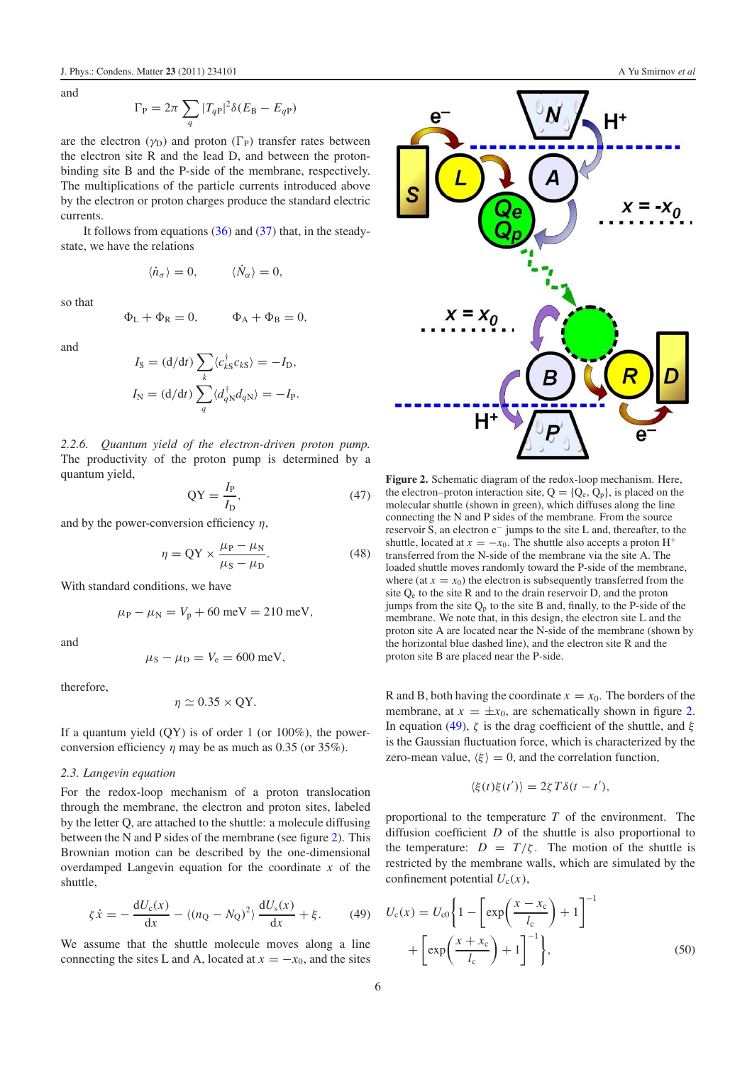and

$$
\Gamma_{\rm P} = 2\pi \sum_{q} |T_{qP}|^2 \delta(E_{\rm B} - E_{qP})
$$

are the electron  $(\gamma_D)$  and proton  $(\Gamma_P)$  transfer rates between the electron site R and the lead D, and between the protonbinding site B and the P-side of the membrane, respectively. The multiplications of the particle currents introduced above by the electron or proton charges produce the standard electric currents.

It follows from equations  $(36)$  and  $(37)$  that, in the steadystate, we have the relations

$$
\langle \dot{n}_{\sigma} \rangle = 0, \qquad \langle \dot{N}_{\alpha} \rangle = 0,
$$

so that

$$
\Phi_L + \Phi_R = 0, \qquad \Phi_A + \Phi_B = 0,
$$

and

$$
I_{\rm S} = (\mathrm{d}/\mathrm{d}t) \sum_{k} \langle c_{k\rm S}^{\dagger} c_{k\rm S} \rangle = -I_{\rm D},
$$
  

$$
I_{\rm N} = (\mathrm{d}/\mathrm{d}t) \sum_{q} \langle d_{q\rm N}^{\dagger} d_{q\rm N} \rangle = -I_{\rm P}.
$$

*2.2.6. Quantum yield of the electron-driven proton pump.* The productivity of the proton pump is determined by a quantum yield,

$$
QY = \frac{I_P}{I_D},\tag{47}
$$

and by the power-conversion efficiency  $\eta$ ,

$$
\eta = \text{QY} \times \frac{\mu_{\text{P}} - \mu_{\text{N}}}{\mu_{\text{S}} - \mu_{\text{D}}}.\tag{48}
$$

With standard conditions, we have

$$
\mu_{\rm P} - \mu_{\rm N} = V_{\rm p} + 60 \,\text{meV} = 210 \,\text{meV},
$$

and

$$
\mu_{\rm S}-\mu_{\rm D}=V_{\rm e}=600~{\rm meV},
$$

therefore,

$$
\eta \simeq 0.35 \times \text{QY}.
$$

If a quantum yield  $(OY)$  is of order 1 (or 100%), the powerconversion efficiency  $\eta$  may be as much as 0.35 (or 35%).

#### *2.3. Langevin equation*

For the redox-loop mechanism of a proton translocation through the membrane, the electron and proton sites, labeled by the letter Q, are attached to the shuttle: a molecule diffusing between the N and P sides of the membrane (see figure [2\)](#page-5-0). This Brownian motion can be described by the one-dimensional overdamped Langevin equation for the coordinate *x* of the shuttle,

$$
\zeta \dot{x} = -\frac{\mathrm{d}U_{\mathrm{c}}(x)}{\mathrm{d}x} - \langle (n_{\mathrm{Q}} - N_{\mathrm{Q}})^2 \rangle \frac{\mathrm{d}U_{\mathrm{s}}(x)}{\mathrm{d}x} + \xi. \tag{49}
$$

We assume that the shuttle molecule moves along a line connecting the sites L and A, located at  $x = -x_0$ , and the sites



<span id="page-5-0"></span>

**Figure 2.** Schematic diagram of the redox-loop mechanism. Here, the electron–proton interaction site,  $Q = \{Q_e, Q_p\}$ , is placed on the molecular shuttle (shown in green), which diffuses along the line connecting the N and P sides of the membrane. From the source reservoir S, an electron e<sup>−</sup> jumps to the site L and, thereafter, to the shuttle, located at  $x = -x_0$ . The shuttle also accepts a proton H<sup>+</sup> transferred from the N-side of the membrane via the site A. The loaded shuttle moves randomly toward the P-side of the membrane, where (at  $x = x_0$ ) the electron is subsequently transferred from the site  $Q<sub>e</sub>$  to the site R and to the drain reservoir D, and the proton jumps from the site  $Q_p$  to the site B and, finally, to the P-side of the membrane. We note that, in this design, the electron site L and the proton site A are located near the N-side of the membrane (shown by the horizontal blue dashed line), and the electron site R and the proton site B are placed near the P-side.

R and B, both having the coordinate  $x = x_0$ . The borders of the membrane, at  $x = \pm x_0$ , are schematically shown in figure [2.](#page-5-0) In equation [\(49\)](#page-5-1),  $\zeta$  is the drag coefficient of the shuttle, and  $\xi$ is the Gaussian fluctuation force, which is characterized by the zero-mean value,  $\langle \xi \rangle = 0$ , and the correlation function,

$$
\langle \xi(t)\xi(t')\rangle = 2\zeta T\delta(t-t'),
$$

<span id="page-5-1"></span>proportional to the temperature *T* of the environment. The diffusion coefficient *D* of the shuttle is also proportional to the temperature:  $D = T/\zeta$ . The motion of the shuttle is restricted by the membrane walls, which are simulated by the confinement potential  $U_c(x)$ ,

$$
U_c(x) = U_{c0} \left\{ 1 - \left[ exp\left(\frac{x - x_c}{l_c}\right) + 1 \right]^{-1} + \left[ exp\left(\frac{x + x_c}{l_c}\right) + 1 \right]^{-1} \right\},\tag{50}
$$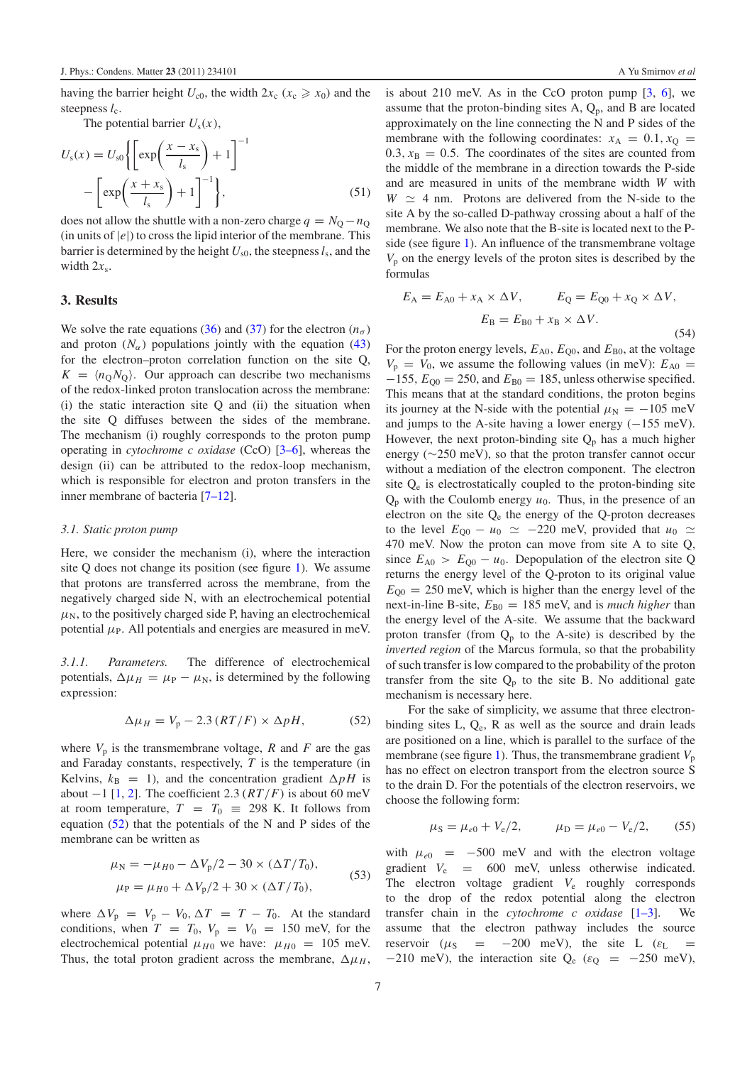The potential barrier  $U(x)$ 

having the barrier height  $U_{c0}$ , the width  $2x_c$  ( $x_c \ge x_0$ ) and the steepness  $l_c$ .

The potential value 
$$
U_s(x)
$$
,  
\n
$$
U_s(x) = U_{s0} \left\{ \left[ \exp\left(\frac{x - x_s}{l_s}\right) + 1 \right]^{-1} - \left[ \exp\left(\frac{x + x_s}{l_s}\right) + 1 \right]^{-1} \right\},
$$
\n(51)

does not allow the shuttle with a non-zero charge  $q = N_0 - n_0$  $(\text{in units of } |e|)$  to cross the lipid interior of the membrane. This barrier is determined by the height  $U_{s0}$ , the steepness  $l_s$ , and the width  $2x_s$ .

#### **3. Results**

We solve the rate equations [\(36\)](#page-4-2) and [\(37\)](#page-4-3) for the electron  $(n_{\sigma})$ and proton  $(N_{\alpha})$  populations jointly with the equation [\(43\)](#page-4-4) for the electron–proton correlation function on the site Q,  $K = \langle n_{\rm Q} N_{\rm Q} \rangle$ . Our approach can describe two mechanisms of the redox-linked proton translocation across the membrane: (i) the static interaction site Q and (ii) the situation when the site Q diffuses between the sides of the membrane. The mechanism (i) roughly corresponds to the proton pump operating in *cytochrome c oxidase* (CcO) [\[3–6\]](#page-10-2), whereas the design (ii) can be attributed to the redox-loop mechanism, which is responsible for electron and proton transfers in the inner membrane of bacteria [\[7–12\]](#page-10-3).

#### *3.1. Static proton pump*

<span id="page-6-1"></span>Here, we consider the mechanism (i), where the interaction site Q does not change its position (see figure [1\)](#page-1-0). We assume that protons are transferred across the membrane, from the negatively charged side N, with an electrochemical potential  $\mu_N$ , to the positively charged side P, having an electrochemical potential  $\mu_P$ . All potentials and energies are measured in meV.

*3.1.1. Parameters.* The difference of electrochemical potentials,  $\Delta \mu_H = \mu_P - \mu_N$ , is determined by the following expression:

$$
\Delta \mu_H = V_p - 2.3 \left( RT/F \right) \times \Delta pH, \tag{52}
$$

where  $V_p$  is the transmembrane voltage, R and F are the gas and Faraday constants, respectively, *T* is the temperature (in Kelvins,  $k_B = 1$ ), and the concentration gradient  $\Delta pH$  is about  $-1$  [\[1,](#page-10-0) [2\]](#page-10-1). The coefficient 2.3 ( $RT/F$ ) is about 60 meV at room temperature,  $T = T_0 \equiv 298$  K. It follows from equation [\(52\)](#page-6-0) that the potentials of the N and P sides of the membrane can be written as

$$
\mu_{\rm N} = -\mu_{H0} - \Delta V_{\rm p}/2 - 30 \times (\Delta T/T_0), \n\mu_{\rm P} = \mu_{H0} + \Delta V_{\rm p}/2 + 30 \times (\Delta T/T_0),
$$
\n(53)

where  $\Delta V_p = V_p - V_0$ ,  $\Delta T = T - T_0$ . At the standard conditions, when  $T = T_0$ ,  $V_p = V_0 = 150$  meV, for the electrochemical potential  $\mu_{H0}$  we have:  $\mu_{H0} = 105$  meV. Thus, the total proton gradient across the membrane,  $\Delta \mu_H$ , is about 210 meV. As in the CcO proton pump  $[3, 6]$  $[3, 6]$  $[3, 6]$ , we assume that the proton-binding sites  $A$ ,  $Q_p$ , and  $B$  are located approximately on the line connecting the N and P sides of the membrane with the following coordinates:  $x_A = 0.1, x_O =$  $0.3, x_B = 0.5$ . The coordinates of the sites are counted from the middle of the membrane in a direction towards the P-side and are measured in units of the membrane width *W* with  $W \simeq 4$  nm. Protons are delivered from the N-side to the site A by the so-called D-pathway crossing about a half of the membrane. We also note that the B-site is located next to the Pside (see figure [1\)](#page-1-0). An influence of the transmembrane voltage *V*<sup>p</sup> on the energy levels of the proton sites is described by the formulas

<span id="page-6-3"></span>
$$
E_{A} = E_{A0} + x_{A} \times \Delta V, \qquad E_{Q} = E_{Q0} + x_{Q} \times \Delta V,
$$

$$
E_{B} = E_{B0} + x_{B} \times \Delta V.
$$
(54)

For the proton energy levels,  $E_{A0}$ ,  $E_{Q0}$ , and  $E_{B0}$ , at the voltage  $V_p = V_0$ , we assume the following values (in meV):  $E_{A0}$  $-155$ ,  $E_{00} = 250$ , and  $E_{B0} = 185$ , unless otherwise specified. This means that at the standard conditions, the proton begins its journey at the N-side with the potential  $\mu_N = -105$  meV and jumps to the A-site having a lower energy  $(-155 \text{ meV})$ . However, the next proton-binding site  $Q_p$  has a much higher energy ( $\sim$ 250 meV), so that the proton transfer cannot occur without a mediation of the electron component. The electron site  $Q_e$  is electrostatically coupled to the proton-binding site  $Q_p$  with the Coulomb energy  $u_0$ . Thus, in the presence of an electron on the site  $Q_e$  the energy of the Q-proton decreases to the level  $E_{Q0} - u_0 \simeq -220$  meV, provided that  $u_0 \simeq$ 470 meV. Now the proton can move from site A to site Q, since  $E_{A0} > E_{Q0} - u_0$ . Depopulation of the electron site Q returns the energy level of the Q-proton to its original value  $E_{00} = 250$  meV, which is higher than the energy level of the next-in-line B-site,  $E_{B0} = 185$  meV, and is *much higher* than the energy level of the A-site. We assume that the backward proton transfer (from  $Q_p$  to the A-site) is described by the *inverted region* of the Marcus formula, so that the probability of such transfer is low compared to the probability of the proton transfer from the site  $Q_p$  to the site B. No additional gate mechanism is necessary here.

<span id="page-6-0"></span>For the sake of simplicity, we assume that three electronbinding sites L, Q<sub>e</sub>, R as well as the source and drain leads are positioned on a line, which is parallel to the surface of the membrane (see figure [1\)](#page-1-0). Thus, the transmembrane gradient  $V_p$ has no effect on electron transport from the electron source S to the drain D. For the potentials of the electron reservoirs, we choose the following form:

$$
\mu_{\rm S} = \mu_{e0} + V_{\rm e}/2,
$$
\n $\mu_{\rm D} = \mu_{e0} - V_{\rm e}/2,$ \n(55)

<span id="page-6-2"></span>with  $\mu_{e0}$  = −500 meV and with the electron voltage gradient  $V_e$  = 600 meV, unless otherwise indicated. The electron voltage gradient  $V_e$  roughly corresponds to the drop of the redox potential along the electron transfer chain in the *cytochrome c oxidase* [\[1–3\]](#page-10-0). We assume that the electron pathway includes the source reservoir ( $\mu$ <sub>S</sub> = −200 meV), the site L ( $\varepsilon$ <sub>L</sub> = −210 meV), the interaction site  $Q_e$  ( $\varepsilon_Q$  = −250 meV),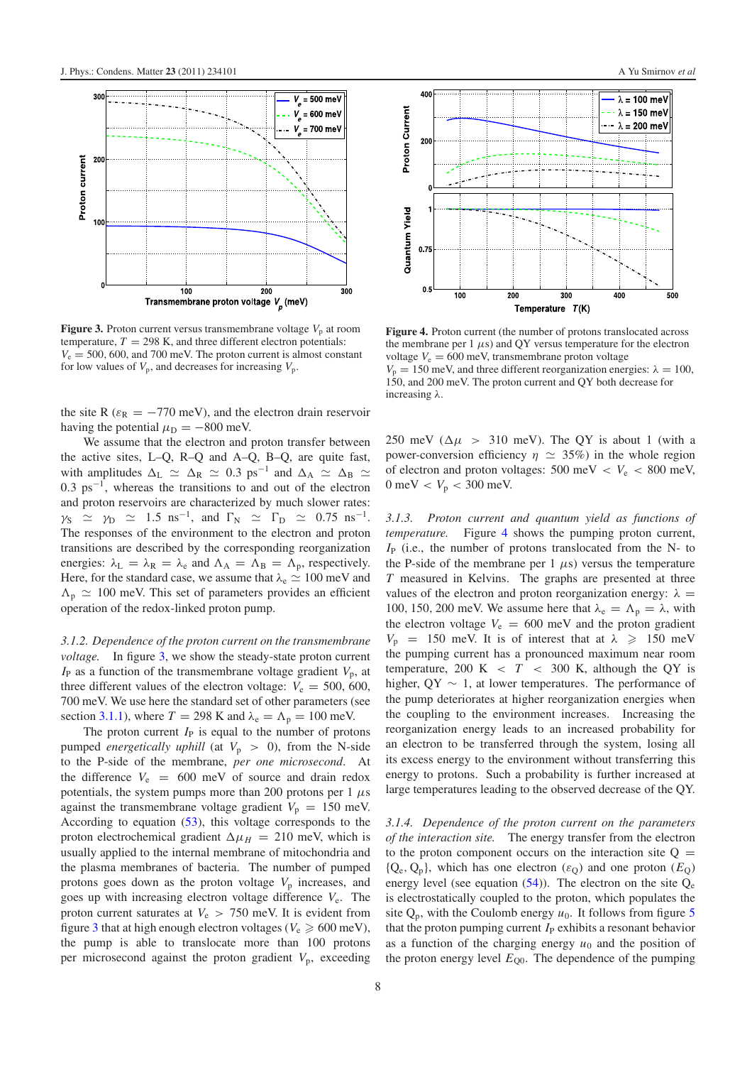<span id="page-7-0"></span>

**Figure 3.** Proton current versus transmembrane voltage  $V_p$  at room temperature,  $T = 298$  K, and three different electron potentials:  $V_e = 500, 600,$  and 700 meV. The proton current is almost constant for low values of  $V_p$ , and decreases for increasing  $V_p$ .

the site R ( $\varepsilon_R = -770$  meV), and the electron drain reservoir having the potential  $\mu_D = -800$  meV.

We assume that the electron and proton transfer between the active sites, L–Q, R–Q and A–Q, B–Q, are quite fast, with amplitudes  $\Delta_L \simeq \Delta_R \simeq 0.3 \text{ ps}^{-1}$  and  $\Delta_A \simeq \Delta_B \simeq$ 0.3 ps<sup>−</sup>1, whereas the transitions to and out of the electron and proton reservoirs are characterized by much slower rates:  $\gamma_S$   $\approx$   $\gamma_D$   $\approx$  1.5 ns<sup>-1</sup>, and  $\Gamma_N$   $\approx$   $\Gamma_D$   $\approx$  0.75 ns<sup>-1</sup>. The responses of the environment to the electron and proton transitions are described by the corresponding reorganization energies:  $\lambda_L = \lambda_R = \lambda_e$  and  $\Lambda_A = \Lambda_B = \Lambda_p$ , respectively. Here, for the standard case, we assume that  $\lambda_e \simeq 100$  meV and  $\Lambda_{\rm p} \simeq 100$  meV. This set of parameters provides an efficient operation of the redox-linked proton pump.

*3.1.2. Dependence of the proton current on the transmembrane voltage.* In figure [3,](#page-7-0) we show the steady-state proton current  $I_P$  as a function of the transmembrane voltage gradient  $V_p$ , at three different values of the electron voltage:  $V_e = 500, 600,$ 700 meV. We use here the standard set of other parameters (see section [3.1.1\)](#page-6-1), where  $T = 298$  K and  $\lambda_e = \Lambda_p = 100$  meV.

The proton current  $I_P$  is equal to the number of protons pumped *energetically uphill* (at  $V_p > 0$ ), from the N-side to the P-side of the membrane, *per one microsecond*. At the difference  $V_e$  = 600 meV of source and drain redox potentials, the system pumps more than 200 protons per 1  $\mu$ s against the transmembrane voltage gradient  $V_p = 150$  meV. According to equation [\(53\)](#page-6-2), this voltage corresponds to the proton electrochemical gradient  $\Delta \mu_H = 210$  meV, which is usually applied to the internal membrane of mitochondria and the plasma membranes of bacteria. The number of pumped protons goes down as the proton voltage  $V_p$  increases, and goes up with increasing electron voltage difference *V*e. The proton current saturates at  $V_e > 750$  meV. It is evident from figure [3](#page-7-0) that at high enough electron voltages ( $V_e \ge 600 \text{ meV}$ ), the pump is able to translocate more than 100 protons per microsecond against the proton gradient  $V_p$ , exceeding

<span id="page-7-1"></span>

**Figure 4.** Proton current (the number of protons translocated across the membrane per 1  $\mu$ s) and QY versus temperature for the electron voltage  $V_e = 600$  meV, transmembrane proton voltage  $V_p = 150$  meV, and three different reorganization energies:  $\lambda = 100$ , 150, and 200 meV. The proton current and QY both decrease for increasing λ.

250 meV ( $\Delta \mu$  > 310 meV). The OY is about 1 (with a power-conversion efficiency  $\eta \simeq 35\%$ ) in the whole region of electron and proton voltages:  $500 \text{ meV} < V_e < 800 \text{ meV}$ , 0 meV  $V_V$   $V_p$   $<$  300 meV.

*3.1.3. Proton current and quantum yield as functions of temperature.* Figure [4](#page-7-1) shows the pumping proton current, *I*<sub>P</sub> (i.e., the number of protons translocated from the N- to the P-side of the membrane per 1  $\mu$ s) versus the temperature *T* measured in Kelvins. The graphs are presented at three values of the electron and proton reorganization energy:  $\lambda$  = 100, 150, 200 meV. We assume here that  $\lambda_e = \Lambda_p = \lambda$ , with the electron voltage  $V_e = 600$  meV and the proton gradient  $V_p$  = 150 meV. It is of interest that at  $\lambda \ge 150$  meV the pumping current has a pronounced maximum near room temperature, 200 K  $\langle T \rangle$  < 300 K, although the QY is higher,  $\overline{QY} \sim 1$ , at lower temperatures. The performance of the pump deteriorates at higher reorganization energies when the coupling to the environment increases. Increasing the reorganization energy leads to an increased probability for an electron to be transferred through the system, losing all its excess energy to the environment without transferring this energy to protons. Such a probability is further increased at large temperatures leading to the observed decrease of the QY.

*3.1.4. Dependence of the proton current on the parameters of the interaction site.* The energy transfer from the electron to the proton component occurs on the interaction site  $Q =$  ${Q_e, Q_p}$ , which has one electron  $(\varepsilon_0)$  and one proton  $(E_0)$ energy level (see equation  $(54)$ ). The electron on the site  $Q_e$ is electrostatically coupled to the proton, which populates the site  $Q_p$ , with the Coulomb energy  $u_0$ . It follows from figure [5](#page-8-0) that the proton pumping current  $I_P$  exhibits a resonant behavior as a function of the charging energy  $u_0$  and the position of the proton energy level  $E_{Q0}$ . The dependence of the pumping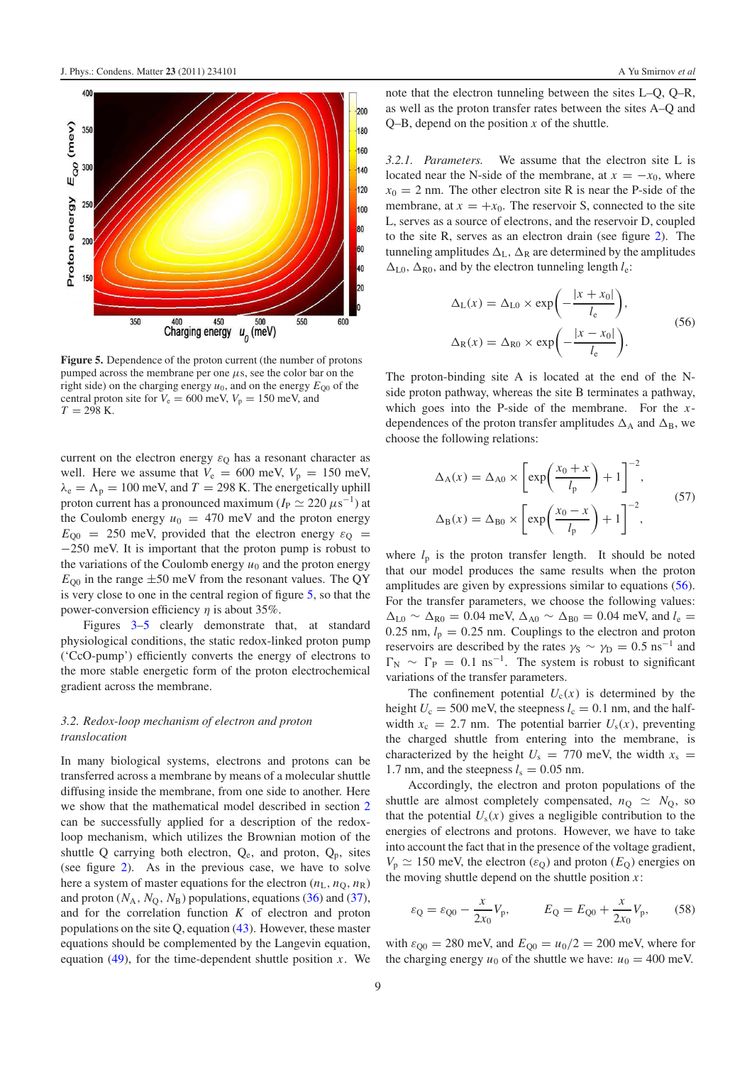<span id="page-8-0"></span>

**Figure 5.** Dependence of the proton current (the number of protons pumped across the membrane per one μs, see the color bar on the right side) on the charging energy  $u_0$ , and on the energy  $E_{00}$  of the central proton site for  $V_e = 600$  meV,  $V_p = 150$  meV, and  $T = 298$  K.

current on the electron energy  $\varepsilon_Q$  has a resonant character as well. Here we assume that  $V_e = 600$  meV,  $V_p = 150$  meV,  $\lambda_e = \Lambda_p = 100$  meV, and  $T = 298$  K. The energetically uphill proton current has a pronounced maximum ( $I_P \simeq 220 \,\mu s^{-1}$ ) at the Coulomb energy  $u_0 = 470$  meV and the proton energy  $E_{00}$  = 250 meV, provided that the electron energy  $\varepsilon_0$  = −250 meV. It is important that the proton pump is robust to the variations of the Coulomb energy  $u_0$  and the proton energy  $E_{00}$  in the range  $\pm 50$  meV from the resonant values. The QY is very close to one in the central region of figure [5,](#page-8-0) so that the power-conversion efficiency  $\eta$  is about 35%.

Figures [3–](#page-7-0)[5](#page-8-0) clearly demonstrate that, at standard physiological conditions, the static redox-linked proton pump ('CcO-pump') efficiently converts the energy of electrons to the more stable energetic form of the proton electrochemical gradient across the membrane.

#### *3.2. Redox-loop mechanism of electron and proton translocation*

In many biological systems, electrons and protons can be transferred across a membrane by means of a molecular shuttle diffusing inside the membrane, from one side to another. Here we show that the mathematical model described in section [2](#page-1-1) can be successfully applied for a description of the redoxloop mechanism, which utilizes the Brownian motion of the shuttle Q carrying both electron,  $Q_e$ , and proton,  $Q_p$ , sites (see figure [2\)](#page-5-0). As in the previous case, we have to solve here a system of master equations for the electron  $(n_L, n_Q, n_R)$ and proton  $(N_A, N_O, N_B)$  populations, equations  $(36)$  and  $(37)$ , and for the correlation function *K* of electron and proton populations on the site Q, equation [\(43\)](#page-4-4). However, these master equations should be complemented by the Langevin equation, equation  $(49)$ , for the time-dependent shuttle position *x*. We note that the electron tunneling between the sites L–Q, Q–R, as well as the proton transfer rates between the sites A–Q and Q–B, depend on the position *x* of the shuttle.

*3.2.1. Parameters.* We assume that the electron site L is located near the N-side of the membrane, at  $x = -x_0$ , where  $x_0 = 2$  nm. The other electron site R is near the P-side of the membrane, at  $x = +x_0$ . The reservoir S, connected to the site L, serves as a source of electrons, and the reservoir D, coupled to the site R, serves as an electron drain (see figure [2\)](#page-5-0). The tunneling amplitudes  $\Delta_L$ ,  $\Delta_R$  are determined by the amplitudes  $\Delta_{L0}$ ,  $\Delta_{R0}$ , and by the electron tunneling length *l*<sub>e</sub>:

<span id="page-8-1"></span>
$$
\Delta_{\rm L}(x) = \Delta_{\rm L0} \times \exp\left(-\frac{|x + x_0|}{l_{\rm e}}\right),
$$
  

$$
\Delta_{\rm R}(x) = \Delta_{\rm R0} \times \exp\left(-\frac{|x - x_0|}{l_{\rm e}}\right).
$$
 (56)

The proton-binding site A is located at the end of the Nside proton pathway, whereas the site B terminates a pathway, which goes into the P-side of the membrane. For the *x*dependences of the proton transfer amplitudes  $\Delta_A$  and  $\Delta_B$ , we choose the following relations:

$$
\Delta_{A}(x) = \Delta_{A0} \times \left[ exp\left(\frac{x_0 + x}{l_p}\right) + 1 \right]^{-2},
$$
  

$$
\Delta_{B}(x) = \Delta_{B0} \times \left[ exp\left(\frac{x_0 - x}{l_p}\right) + 1 \right]^{-2},
$$
 (57)

where  $l_p$  is the proton transfer length. It should be noted that our model produces the same results when the proton amplitudes are given by expressions similar to equations [\(56\)](#page-8-1). For the transfer parameters, we choose the following values:  $\Delta_{L0}$  ~  $\Delta_{R0}$  = 0.04 meV,  $\Delta_{A0}$  ~  $\Delta_{B0}$  = 0.04 meV, and *l*<sub>e</sub> = 0.25 nm,  $l_p = 0.25$  nm. Couplings to the electron and proton reservoirs are described by the rates  $\gamma_S \sim \gamma_D = 0.5 \text{ ns}^{-1}$  and  $\Gamma_{\rm N} \sim \Gamma_{\rm P} = 0.1 \text{ ns}^{-1}$ . The system is robust to significant variations of the transfer parameters.

The confinement potential  $U_c(x)$  is determined by the height  $U_c = 500$  meV, the steepness  $l_c = 0.1$  nm, and the halfwidth  $x_c = 2.7$  nm. The potential barrier  $U_s(x)$ , preventing the charged shuttle from entering into the membrane, is characterized by the height  $U_s = 770$  meV, the width  $x_s =$ 1.7 nm, and the steepness  $l_s = 0.05$  nm.

Accordingly, the electron and proton populations of the shuttle are almost completely compensated,  $n_{\rm O} \simeq N_{\rm O}$ , so that the potential  $U_s(x)$  gives a negligible contribution to the energies of electrons and protons. However, we have to take into account the fact that in the presence of the voltage gradient,  $V_p \simeq 150$  meV, the electron ( $\varepsilon_Q$ ) and proton ( $E_Q$ ) energies on the moving shuttle depend on the shuttle position *x*:

$$
\varepsilon_{\mathbf{Q}} = \varepsilon_{\mathbf{Q}0} - \frac{x}{2x_0} V_{\mathbf{p}}, \qquad E_{\mathbf{Q}} = E_{\mathbf{Q}0} + \frac{x}{2x_0} V_{\mathbf{p}},
$$
\n(58)

with  $\varepsilon_{00} = 280$  meV, and  $E_{00} = u_0/2 = 200$  meV, where for the charging energy  $u_0$  of the shuttle we have:  $u_0 = 400$  meV.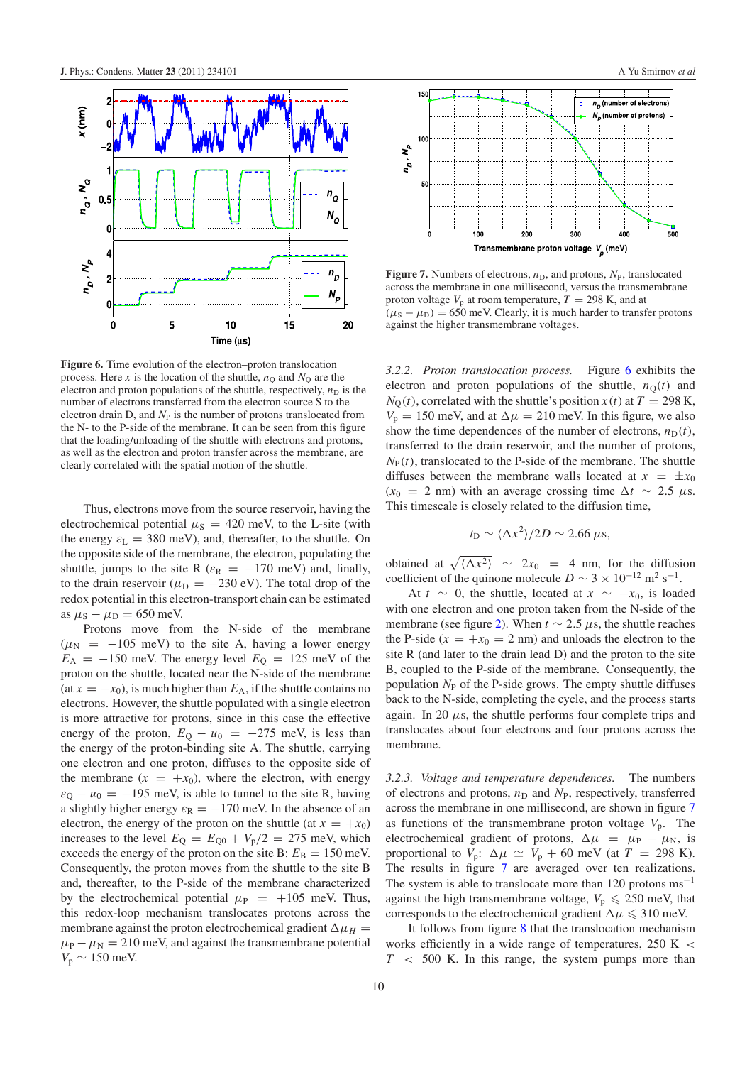<span id="page-9-0"></span>

**Figure 6.** Time evolution of the electron–proton translocation process. Here *x* is the location of the shuttle,  $n_Q$  and  $N_Q$  are the electron and proton populations of the shuttle, respectively,  $n_D$  is the number of electrons transferred from the electron source S to the electron drain D, and  $N_P$  is the number of protons translocated from the N- to the P-side of the membrane. It can be seen from this figure that the loading/unloading of the shuttle with electrons and protons, as well as the electron and proton transfer across the membrane, are clearly correlated with the spatial motion of the shuttle.

Thus, electrons move from the source reservoir, having the electrochemical potential  $\mu$ <sub>S</sub> = 420 meV, to the L-site (with the energy  $\varepsilon_L = 380$  meV), and, thereafter, to the shuttle. On the opposite side of the membrane, the electron, populating the shuttle, jumps to the site R ( $\varepsilon_R = -170$  meV) and, finally, to the drain reservoir ( $\mu_D = -230$  eV). The total drop of the redox potential in this electron-transport chain can be estimated as  $\mu$ <sub>S</sub> −  $\mu$ <sub>D</sub> = 650 meV.

Protons move from the N-side of the membrane  $(\mu_N = -105 \text{ meV})$  to the site A, having a lower energy  $E_A = -150$  meV. The energy level  $E_Q = 125$  meV of the proton on the shuttle, located near the N-side of the membrane (at  $x = -x_0$ ), is much higher than  $E_A$ , if the shuttle contains no electrons. However, the shuttle populated with a single electron is more attractive for protons, since in this case the effective energy of the proton,  $E_Q - u_0 = -275$  meV, is less than the energy of the proton-binding site A. The shuttle, carrying one electron and one proton, diffuses to the opposite side of the membrane  $(x = +x_0)$ , where the electron, with energy  $\varepsilon_{\rm O} - u_0 = -195$  meV, is able to tunnel to the site R, having a slightly higher energy  $\varepsilon_R = -170$  meV. In the absence of an electron, the energy of the proton on the shuttle (at  $x = +x_0$ ) increases to the level  $E_Q = E_{Q0} + V_p/2 = 275$  meV, which exceeds the energy of the proton on the site B:  $E_B = 150$  meV. Consequently, the proton moves from the shuttle to the site B and, thereafter, to the P-side of the membrane characterized by the electrochemical potential  $\mu_P = +105$  meV. Thus, this redox-loop mechanism translocates protons across the membrane against the proton electrochemical gradient  $\Delta \mu_H$  =  $\mu_{\rm P} - \mu_{\rm N} = 210$  meV, and against the transmembrane potential *V*<sup>p</sup> ∼ 150 meV.

<span id="page-9-1"></span>

 $\frac{1}{300}$ 

 $400$ 

150

10  $n_{\mathbf{p}}$  ,  $N_{\mathbf{p}}$ 

50

100

Figure 7. Numbers of electrons,  $n_D$ , and protons,  $N_P$ , translocated across the membrane in one millisecond, versus the transmembrane proton voltage  $V_p$  at room temperature,  $T = 298$  K, and at  $(\mu_S - \mu_D) = 650$  meV. Clearly, it is much harder to transfer protons against the higher transmembrane voltages.

Transmembrane proton voltage V (meV)

 $\overline{200}$ 

*3.2.2. Proton translocation process.* Figure [6](#page-9-0) exhibits the electron and proton populations of the shuttle,  $n<sub>O</sub>(t)$  and  $N<sub>O</sub>(t)$ , correlated with the shuttle's position *x*(*t*) at *T* = 298 K,  $V_p = 150$  meV, and at  $\Delta \mu = 210$  meV. In this figure, we also show the time dependences of the number of electrons,  $n_D(t)$ , transferred to the drain reservoir, and the number of protons,  $N_P(t)$ , translocated to the P-side of the membrane. The shuttle diffuses between the membrane walls located at  $x = \pm x_0$  $(x_0 = 2 \text{ nm})$  with an average crossing time  $\Delta t \sim 2.5 \mu s$ . This timescale is closely related to the diffusion time,

$$
t_{\rm D} \sim \langle \Delta x^2 \rangle / 2D \sim 2.66 \ \mu s,
$$

obtained at  $\sqrt{\langle \Delta x^2 \rangle}$  ~ 2*x*<sub>0</sub> = 4 nm, for the diffusion coefficient of the quinone molecule *D* ~ 3 × 10<sup>-12</sup> m<sup>2</sup> s<sup>-1</sup>.

At  $t \sim 0$ , the shuttle, located at  $x \sim -x_0$ , is loaded with one electron and one proton taken from the N-side of the membrane (see figure [2\)](#page-5-0). When  $t \sim 2.5 \mu s$ , the shuttle reaches the P-side  $(x = +x_0 = 2$  nm) and unloads the electron to the site R (and later to the drain lead D) and the proton to the site B, coupled to the P-side of the membrane. Consequently, the population  $N_P$  of the P-side grows. The empty shuttle diffuses back to the N-side, completing the cycle, and the process starts again. In 20  $\mu$ s, the shuttle performs four complete trips and translocates about four electrons and four protons across the membrane.

*3.2.3. Voltage and temperature dependences.* The numbers of electrons and protons,  $n_D$  and  $N_P$ , respectively, transferred across the membrane in one millisecond, are shown in figure [7](#page-9-1) as functions of the transmembrane proton voltage  $V_p$ . The electrochemical gradient of protons,  $\Delta \mu = \mu_P - \mu_N$ , is proportional to  $V_p$ :  $\Delta \mu \simeq V_p + 60$  meV (at  $T = 298$  K). The results in figure [7](#page-9-1) are averaged over ten realizations. The system is able to translocate more than 120 protons  $ms^{-1}$ against the high transmembrane voltage,  $V_p \le 250$  meV, that corresponds to the electrochemical gradient  $\Delta \mu \leq 310$  meV.

It follows from figure [8](#page-10-8) that the translocation mechanism works efficiently in a wide range of temperatures,  $250 K <$  $T \sim 500$  K. In this range, the system pumps more than

 $\overline{50}$